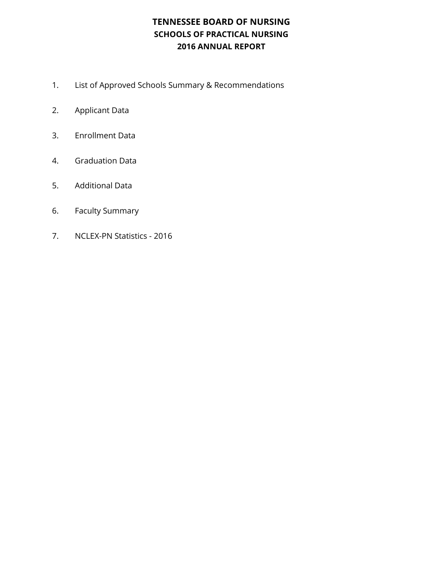## **TENNESSEE BOARD OF NURSING SCHOOLS OF PRACTICAL NURSING 2016 ANNUAL REPORT**

- 1. List of Approved Schools Summary & Recommendations
- 2. Applicant Data
- 3. Enrollment Data
- 4. Graduation Data
- 5. Additional Data
- 6. Faculty Summary
- 7. NCLEX-PN Statistics - 2016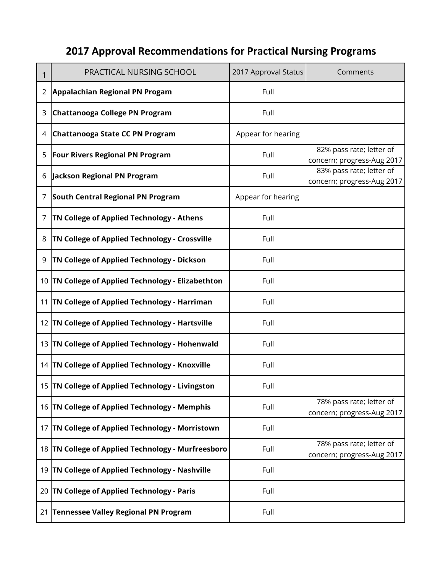# **2017 Approval Recommendations for Practical Nursing Programs**

| 1  | PRACTICAL NURSING SCHOOL                           | 2017 Approval Status | Comments                                               |
|----|----------------------------------------------------|----------------------|--------------------------------------------------------|
| 2  | <b>Appalachian Regional PN Progam</b>              | Full                 |                                                        |
| 3  | <b>Chattanooga College PN Program</b>              | Full                 |                                                        |
| 4  | <b>Chattanooga State CC PN Program</b>             | Appear for hearing   |                                                        |
| 5  | <b>Four Rivers Regional PN Program</b>             | Full                 | 82% pass rate; letter of<br>concern; progress-Aug 2017 |
| 6  | <b>Jackson Regional PN Program</b>                 | Full                 | 83% pass rate; letter of<br>concern; progress-Aug 2017 |
| 7  | <b>South Central Regional PN Program</b>           | Appear for hearing   |                                                        |
| 7  | TN College of Applied Technology - Athens          | Full                 |                                                        |
| 8  | TN College of Applied Technology - Crossville      | Full                 |                                                        |
| 9  | TN College of Applied Technology - Dickson         | Full                 |                                                        |
|    | 10 TN College of Applied Technology - Elizabethton | Full                 |                                                        |
| 11 | <b>TN College of Applied Technology - Harriman</b> | Full                 |                                                        |
|    | 12   TN College of Applied Technology - Hartsville | Full                 |                                                        |
|    | 13 TN College of Applied Technology - Hohenwald    | Full                 |                                                        |
|    | 14   TN College of Applied Technology - Knoxville  | Full                 |                                                        |
|    | 15 TN College of Applied Technology - Livingston   | Full                 |                                                        |
|    | 16 TN College of Applied Technology - Memphis      | Full                 | 78% pass rate; letter of<br>concern; progress-Aug 2017 |
|    | 17   TN College of Applied Technology - Morristown | Full                 |                                                        |
|    | 18 TN College of Applied Technology - Murfreesboro | Full                 | 78% pass rate; letter of<br>concern; progress-Aug 2017 |
|    | 19 TN College of Applied Technology - Nashville    | Full                 |                                                        |
|    | 20 TN College of Applied Technology - Paris        | Full                 |                                                        |
|    | 21 Tennessee Valley Regional PN Program            | Full                 |                                                        |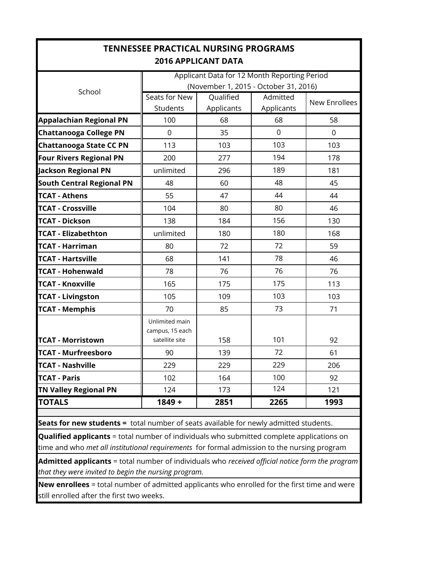|                                                                                                                                                                                                 | <b>TENNESSEE PRACTICAL NURSING PROGRAMS</b>         |                                                                                       |                        |               |  |
|-------------------------------------------------------------------------------------------------------------------------------------------------------------------------------------------------|-----------------------------------------------------|---------------------------------------------------------------------------------------|------------------------|---------------|--|
|                                                                                                                                                                                                 |                                                     | <b>2016 APPLICANT DATA</b>                                                            |                        |               |  |
|                                                                                                                                                                                                 |                                                     | Applicant Data for 12 Month Reporting Period<br>(November 1, 2015 - October 31, 2016) |                        |               |  |
| School                                                                                                                                                                                          | Seats for New<br>Students                           | Qualified<br>Applicants                                                               | Admitted<br>Applicants | New Enrollees |  |
| <b>Appalachian Regional PN</b>                                                                                                                                                                  | 100                                                 | 68                                                                                    | 68                     | 58            |  |
| <b>Chattanooga College PN</b>                                                                                                                                                                   | $\mathbf 0$                                         | 35                                                                                    | $\mathbf 0$            | $\mathbf 0$   |  |
| <b>Chattanooga State CC PN</b>                                                                                                                                                                  | 113                                                 | 103                                                                                   | 103                    | 103           |  |
| <b>Four Rivers Regional PN</b>                                                                                                                                                                  | 200                                                 | 277                                                                                   | 194                    | 178           |  |
| Jackson Regional PN                                                                                                                                                                             | unlimited                                           | 296                                                                                   | 189                    | 181           |  |
| South Central Regional PN                                                                                                                                                                       | 48                                                  | 60                                                                                    | 48                     | 45            |  |
| <b>TCAT - Athens</b>                                                                                                                                                                            | 55                                                  | 47                                                                                    | 44                     | 44            |  |
| <b>TCAT - Crossville</b>                                                                                                                                                                        | 104                                                 | 80                                                                                    | 80                     | 46            |  |
| <b>TCAT - Dickson</b>                                                                                                                                                                           | 138                                                 | 184                                                                                   | 156                    | 130           |  |
| <b>TCAT - Elizabethton</b>                                                                                                                                                                      | unlimited                                           | 180                                                                                   | 180                    | 168           |  |
| <b>TCAT - Harriman</b>                                                                                                                                                                          | 80                                                  | 72                                                                                    | 72                     | 59            |  |
| <b>TCAT - Hartsville</b>                                                                                                                                                                        | 68                                                  | 141                                                                                   | 78                     | 46            |  |
| <b>TCAT - Hohenwald</b>                                                                                                                                                                         | 78                                                  | 76                                                                                    | 76                     | 76            |  |
| <b>TCAT - Knoxville</b>                                                                                                                                                                         | 165                                                 | 175                                                                                   | 175                    | 113           |  |
| <b>TCAT - Livingston</b>                                                                                                                                                                        | 105                                                 | 109                                                                                   | 103                    | 103           |  |
| <b>TCAT - Memphis</b>                                                                                                                                                                           | 70                                                  | 85                                                                                    | 73                     | 71            |  |
| <b>TCAT - Morristown</b>                                                                                                                                                                        | Unlimited main<br>campus, 15 each<br>satellite site | 158                                                                                   | 101                    | 92            |  |
| <b>TCAT - Murfreesboro</b>                                                                                                                                                                      | 90                                                  | 139                                                                                   | 72                     | 61            |  |
| <b>TCAT - Nashville</b>                                                                                                                                                                         | 229                                                 | 229                                                                                   | 229                    | 206           |  |
| <b>TCAT - Paris</b>                                                                                                                                                                             | 102                                                 | 164                                                                                   | 100                    | 92            |  |
| <b>TN Valley Regional PN</b>                                                                                                                                                                    | 124                                                 | 173                                                                                   | 124                    | 121           |  |
| <b>TOTALS</b>                                                                                                                                                                                   | $1849 +$                                            | 2851                                                                                  | 2265                   | 1993          |  |
|                                                                                                                                                                                                 |                                                     |                                                                                       |                        |               |  |
| Seats for new students = total number of seats available for newly admitted students.                                                                                                           |                                                     |                                                                                       |                        |               |  |
| <b>Qualified applicants</b> = total number of individuals who submitted complete applications on<br>time and who met all institutional requirements for formal admission to the nursing program |                                                     |                                                                                       |                        |               |  |
| <b>Admitted applicants</b> = total number of individuals who received official notice form the program<br>that they were invited to begin the nursing program.                                  |                                                     |                                                                                       |                        |               |  |
| New enrollees = total number of admitted applicants who enrolled for the first time and were                                                                                                    |                                                     |                                                                                       |                        |               |  |

still enrolled after the first two weeks.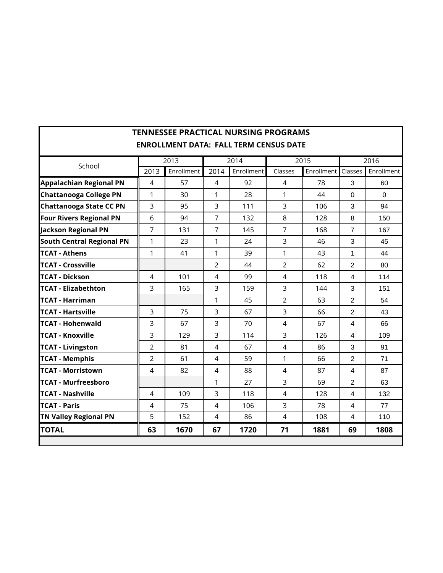| <b>ENROLLMENT DATA: FALL TERM CENSUS DATE</b> |                |            |                |            |                |            |                |            |  |  |  |  |  |  |
|-----------------------------------------------|----------------|------------|----------------|------------|----------------|------------|----------------|------------|--|--|--|--|--|--|
| School                                        |                | 2013       |                | 2014       |                | 2015       |                | 2016       |  |  |  |  |  |  |
|                                               | 2013           | Enrollment | 2014           | Enrollment | Classes        | Enrollment | Classes        | Enrollment |  |  |  |  |  |  |
| <b>Appalachian Regional PN</b>                | 4              | 57         | 4              | 92         | $\overline{4}$ | 78         | 3              | 60         |  |  |  |  |  |  |
| <b>Chattanooga College PN</b>                 | 1              | 30         | 1              | 28         | 1              | 44         | $\Omega$       | $\Omega$   |  |  |  |  |  |  |
| <b>Chattanooga State CC PN</b>                | 3              | 95         | 3              | 111        | 3              | 106        | 3              | 94         |  |  |  |  |  |  |
| <b>Four Rivers Regional PN</b>                | 6              | 94         | 7              | 132        | 8              | 128        | 8              | 150        |  |  |  |  |  |  |
| <b>Jackson Regional PN</b>                    | 7              | 131        | 7              | 145        | $\overline{7}$ | 168        | $\overline{7}$ | 167        |  |  |  |  |  |  |
| <b>South Central Regional PN</b>              | 1              | 23         | 1              | 24         | $\overline{3}$ | 46         | 3              | 45         |  |  |  |  |  |  |
| <b>TCAT - Athens</b>                          | 1              | 41         | 1              | 39         | 1              | 43         | $\mathbf{1}$   | 44         |  |  |  |  |  |  |
| <b>TCAT - Crossville</b>                      |                |            | 2              | 44         | 2              | 62         | $\overline{2}$ | 80         |  |  |  |  |  |  |
| <b>TCAT - Dickson</b>                         | 4              | 101        | 4              | 99         | $\overline{4}$ | 118        | 4              | 114        |  |  |  |  |  |  |
| <b>TCAT - Elizabethton</b>                    | 3              | 165        | 3              | 159        | $\overline{3}$ | 144        | 3              | 151        |  |  |  |  |  |  |
| <b>TCAT - Harriman</b>                        |                |            | 1              | 45         | 2              | 63         | $\overline{2}$ | 54         |  |  |  |  |  |  |
| <b>TCAT - Hartsville</b>                      | 3              | 75         | 3              | 67         | 3              | 66         | $\overline{2}$ | 43         |  |  |  |  |  |  |
| <b>TCAT - Hohenwald</b>                       | 3              | 67         | 3              | 70         | $\overline{4}$ | 67         | 4              | 66         |  |  |  |  |  |  |
| TCAT - Knoxville                              | 3              | 129        | 3              | 114        | 3              | 126        | $\overline{4}$ | 109        |  |  |  |  |  |  |
| <b>TCAT - Livingston</b>                      | $\overline{2}$ | 81         | 4              | 67         | 4              | 86         | 3              | 91         |  |  |  |  |  |  |
| <b>TCAT - Memphis</b>                         | $\overline{2}$ | 61         | 4              | 59         | $\mathbf{1}$   | 66         | $\overline{2}$ | 71         |  |  |  |  |  |  |
| <b>TCAT - Morristown</b>                      | 4              | 82         | $\overline{4}$ | 88         | $\overline{4}$ | 87         | 4              | 87         |  |  |  |  |  |  |
| TCAT - Murfreesboro                           |                |            | 1              | 27         | 3              | 69         | $\overline{2}$ | 63         |  |  |  |  |  |  |
| <b>TCAT - Nashville</b>                       | 4              | 109        | 3              | 118        | 4              | 128        | $\overline{4}$ | 132        |  |  |  |  |  |  |
| <b>I</b> TCAT - Paris                         | $\overline{4}$ | 75         | 4              | 106        | 3              | 78         | $\overline{4}$ | 77         |  |  |  |  |  |  |
| <b>TN Valley Regional PN</b>                  | 5              | 152        | 4              | 86         | 4              | 108        | 4              | 110        |  |  |  |  |  |  |
| <b>TOTAL</b>                                  | 63             | 1670       | 67             | 1720       | 71             | 1881       | 69             | 1808       |  |  |  |  |  |  |
|                                               |                |            |                |            |                |            |                |            |  |  |  |  |  |  |

**TENNESSEE PRACTICAL NURSING PROGRAMS**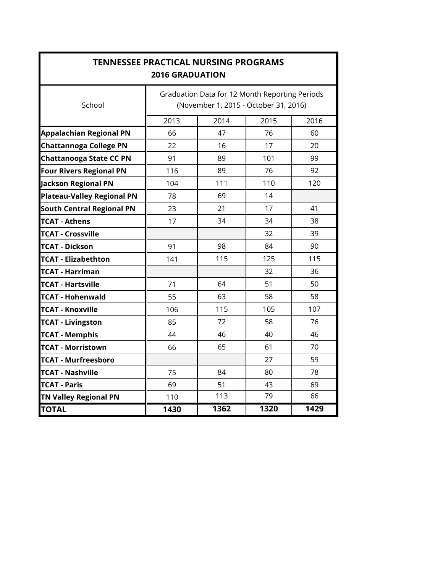| <b>TENNESSEE PRACTICAL NURSING PROGRAMS</b><br><b>2016 GRADUATION</b> |                                                                                         |      |      |      |  |  |  |  |  |  |  |  |
|-----------------------------------------------------------------------|-----------------------------------------------------------------------------------------|------|------|------|--|--|--|--|--|--|--|--|
| School                                                                | Graduation Data for 12 Month Reporting Periods<br>(November 1, 2015 - October 31, 2016) |      |      |      |  |  |  |  |  |  |  |  |
|                                                                       | 2013                                                                                    | 2014 | 2015 | 2016 |  |  |  |  |  |  |  |  |
| <b>Appalachian Regional PN</b>                                        | 66                                                                                      | 47   | 76   | 60   |  |  |  |  |  |  |  |  |
| <b>Chattannoga College PN</b>                                         | 22                                                                                      | 16   | 17   | 20   |  |  |  |  |  |  |  |  |
| <b>Chattanooga State CC PN</b>                                        | 91                                                                                      | 89   | 101  | 99   |  |  |  |  |  |  |  |  |
| <b>Four Rivers Regional PN</b>                                        | 116                                                                                     | 89   | 76   | 92   |  |  |  |  |  |  |  |  |
| <b>Jackson Regional PN</b>                                            | 104                                                                                     | 111  | 110  | 120  |  |  |  |  |  |  |  |  |
| <b>Plateau-Valley Regional PN</b>                                     | 78                                                                                      | 69   | 14   |      |  |  |  |  |  |  |  |  |
| <b>South Central Regional PN</b>                                      | 23                                                                                      | 21   | 17   | 41   |  |  |  |  |  |  |  |  |
| <b>TCAT - Athens</b>                                                  | 17                                                                                      | 34   | 34   | 38   |  |  |  |  |  |  |  |  |
| <b>TCAT - Crossville</b>                                              |                                                                                         |      | 32   | 39   |  |  |  |  |  |  |  |  |
| <b>TCAT - Dickson</b>                                                 | 91                                                                                      | 98   | 84   | 90   |  |  |  |  |  |  |  |  |
| <b>TCAT - Elizabethton</b>                                            | 141                                                                                     | 115  | 125  | 115  |  |  |  |  |  |  |  |  |
| <b>TCAT - Harriman</b>                                                |                                                                                         |      | 32   | 36   |  |  |  |  |  |  |  |  |
| <b>TCAT - Hartsville</b>                                              | 71                                                                                      | 64   | 51   | 50   |  |  |  |  |  |  |  |  |
| <b>TCAT - Hohenwald</b>                                               | 55                                                                                      | 63   | 58   | 58   |  |  |  |  |  |  |  |  |
| <b>TCAT - Knoxville</b>                                               | 106                                                                                     | 115  | 105  | 107  |  |  |  |  |  |  |  |  |
| <b>TCAT - Livingston</b>                                              | 85                                                                                      | 72   | 58   | 76   |  |  |  |  |  |  |  |  |
| <b>TCAT - Memphis</b>                                                 | 44                                                                                      | 46   | 40   | 46   |  |  |  |  |  |  |  |  |
| <b>TCAT - Morristown</b>                                              | 66                                                                                      | 65   | 61   | 70   |  |  |  |  |  |  |  |  |
| <b>TCAT - Murfreesboro</b>                                            |                                                                                         |      | 27   | 59   |  |  |  |  |  |  |  |  |
| <b>TCAT - Nashville</b>                                               | 75                                                                                      | 84   | 80   | 78   |  |  |  |  |  |  |  |  |
| <b>TCAT - Paris</b>                                                   | 69                                                                                      | 51   | 43   | 69   |  |  |  |  |  |  |  |  |
| <b>TN Valley Regional PN</b>                                          | 110                                                                                     | 113  | 79   | 66   |  |  |  |  |  |  |  |  |
| <b>TOTAL</b>                                                          | 1430                                                                                    | 1362 | 1320 | 1429 |  |  |  |  |  |  |  |  |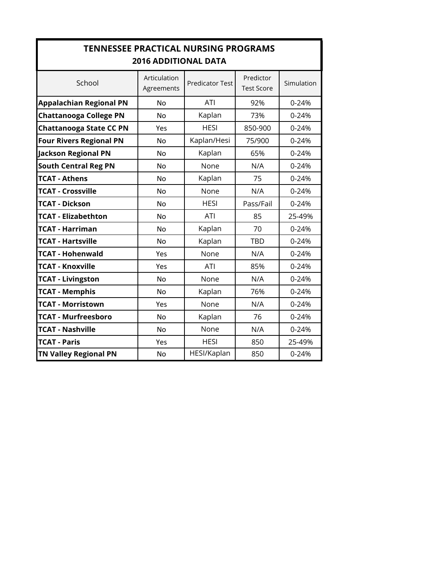| <b>TENNESSEE PRACTICAL NURSING PROGRAMS</b><br><b>2016 ADDITIONAL DATA</b> |                            |                        |                                |            |  |  |  |  |  |  |  |  |  |
|----------------------------------------------------------------------------|----------------------------|------------------------|--------------------------------|------------|--|--|--|--|--|--|--|--|--|
| School                                                                     | Articulation<br>Agreements | <b>Predicator Test</b> | Predictor<br><b>Test Score</b> | Simulation |  |  |  |  |  |  |  |  |  |
| <b>Appalachian Regional PN</b>                                             | <b>No</b>                  | ATI                    | 92%                            | $0 - 24%$  |  |  |  |  |  |  |  |  |  |
| <b>Chattanooga College PN</b>                                              | <b>No</b>                  | Kaplan                 | 73%                            | $0 - 24%$  |  |  |  |  |  |  |  |  |  |
| <b>Chattanooga State CC PN</b>                                             | Yes                        | <b>HESI</b>            | 850-900                        | 0-24%      |  |  |  |  |  |  |  |  |  |
| <b>Four Rivers Regional PN</b>                                             | No                         | Kaplan/Hesi            | 75/900                         | $0 - 24%$  |  |  |  |  |  |  |  |  |  |
| <b>Jackson Regional PN</b>                                                 | <b>No</b>                  | Kaplan                 | 65%                            | $0 - 24%$  |  |  |  |  |  |  |  |  |  |
| <b>South Central Reg PN</b>                                                | <b>No</b>                  | None                   | N/A                            | 0-24%      |  |  |  |  |  |  |  |  |  |
| <b>TCAT - Athens</b>                                                       | <b>No</b>                  | Kaplan                 | 75                             | 0-24%      |  |  |  |  |  |  |  |  |  |
| <b>TCAT - Crossville</b>                                                   | <b>No</b>                  | None                   | N/A                            | $0 - 24%$  |  |  |  |  |  |  |  |  |  |
| <b>TCAT - Dickson</b>                                                      | <b>No</b>                  | <b>HESI</b>            | Pass/Fail                      | $0 - 24%$  |  |  |  |  |  |  |  |  |  |
| <b>TCAT - Elizabethton</b>                                                 | <b>No</b>                  | ATI                    | 85                             | 25-49%     |  |  |  |  |  |  |  |  |  |
| <b>TCAT - Harriman</b>                                                     | <b>No</b>                  | Kaplan                 | 70                             | $0 - 24%$  |  |  |  |  |  |  |  |  |  |
| <b>TCAT - Hartsville</b>                                                   | <b>No</b>                  | Kaplan                 | <b>TBD</b>                     | 0-24%      |  |  |  |  |  |  |  |  |  |
| <b>TCAT - Hohenwald</b>                                                    | Yes                        | None                   | N/A                            | $0 - 24%$  |  |  |  |  |  |  |  |  |  |
| <b>TCAT - Knoxville</b>                                                    | Yes                        | ATI                    | 85%                            | 0-24%      |  |  |  |  |  |  |  |  |  |
| <b>TCAT - Livingston</b>                                                   | <b>No</b>                  | None                   | N/A                            | $0 - 24%$  |  |  |  |  |  |  |  |  |  |
| <b>TCAT - Memphis</b>                                                      | <b>No</b>                  | Kaplan                 | 76%                            | 0-24%      |  |  |  |  |  |  |  |  |  |
| <b>TCAT - Morristown</b>                                                   | Yes                        | None                   | N/A                            | $0 - 24%$  |  |  |  |  |  |  |  |  |  |
| <b>TCAT - Murfreesboro</b>                                                 | <b>No</b>                  | Kaplan                 | 76                             | 0-24%      |  |  |  |  |  |  |  |  |  |
| <b>TCAT - Nashville</b>                                                    | <b>No</b>                  | None                   | N/A                            | 0-24%      |  |  |  |  |  |  |  |  |  |
| <b>TCAT - Paris</b>                                                        | Yes                        | <b>HESI</b>            | 850                            | 25-49%     |  |  |  |  |  |  |  |  |  |
| <b>TN Valley Regional PN</b>                                               | No                         | HESI/Kaplan            | 850                            | 0-24%      |  |  |  |  |  |  |  |  |  |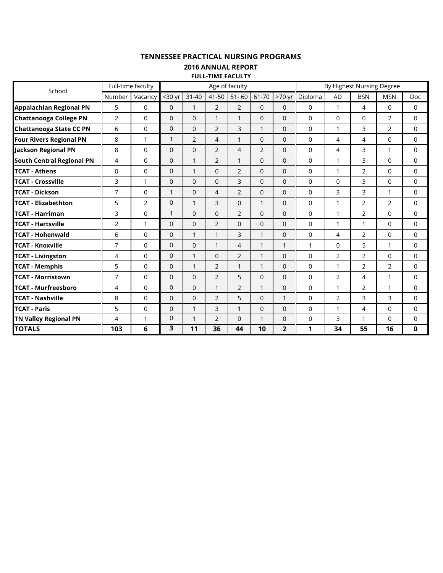### **TENNESSEE PRACTICAL NURSING PROGRAMS**

**2016 ANNUAL REPORT**

**FULL-TIME FACULTY**

| School                           | Full-time faculty |                |              |                |                | Age of faculty |              | By Highest Nursing Degree |              |              |                |                |             |
|----------------------------------|-------------------|----------------|--------------|----------------|----------------|----------------|--------------|---------------------------|--------------|--------------|----------------|----------------|-------------|
|                                  | Number            | Vacancy        | $30$ yr      | $31 - 40$      | $41 - 50$      | $51 - 60$      | 61-70        | >70 yr                    | Diploma      | <b>AD</b>    | <b>BSN</b>     | <b>MSN</b>     | Doc.        |
| <b>Appalachian Regional PN</b>   | 5                 | $\Omega$       | $\Omega$     | $\mathbf{1}$   | $\overline{2}$ | $\overline{2}$ | $\Omega$     | $\Omega$                  | $\Omega$     | $\mathbf{1}$ | 4              | $\Omega$       | $\Omega$    |
| <b>Chattanooga College PN</b>    | $\overline{2}$    | $\Omega$       | $\mathbf{0}$ | $\mathbf{0}$   | $\mathbf{1}$   | $\mathbf{1}$   | $\Omega$     | 0                         | $\Omega$     | $\Omega$     | 0              | $\overline{2}$ | $\mathbf 0$ |
| <b>Chattanooga State CC PN</b>   | 6                 | 0              | $\mathbf{0}$ | $\mathbf 0$    | 2              | 3              | 1            | 0                         | $\mathbf 0$  | $\mathbf{1}$ | 3              | $\overline{2}$ | 0           |
| <b>Four Rivers Regional PN</b>   | 8                 | 1              | 1            | $\overline{2}$ | $\overline{4}$ | $\mathbf{1}$   | $\Omega$     | $\mathbf 0$               | $\mathbf 0$  | 4            | 4              | $\Omega$       | 0           |
| <b>Jackson Regional PN</b>       | 8                 | $\Omega$       | $\mathbf 0$  | $\Omega$       | 2              | 4              | 2            | $\Omega$                  | $\Omega$     | 4            | 3              | 1              | 0           |
| <b>South Central Regional PN</b> | 4                 | $\Omega$       | $\mathbf 0$  | $\mathbf{1}$   | 2              | $\mathbf{1}$   | $\Omega$     | 0                         | $\Omega$     | $\mathbf{1}$ | 3              | $\Omega$       | 0           |
| <b>TCAT - Athens</b>             | 0                 | $\Omega$       | $\mathbf 0$  | $\mathbf{1}$   | $\Omega$       | $\overline{2}$ | $\Omega$     | $\Omega$                  | $\Omega$     | $\mathbf{1}$ | $\overline{2}$ | $\Omega$       | 0           |
| <b>TCAT - Crossville</b>         | 3                 | 1              | $\mathbf{0}$ | $\Omega$       | $\Omega$       | $\overline{3}$ | $\Omega$     | 0                         | $\Omega$     | $\Omega$     | 3              | $\Omega$       | $\Omega$    |
| <b>TCAT - Dickson</b>            | 7                 | $\Omega$       | 1            | $\mathbf{0}$   | 4              | $\overline{2}$ | $\Omega$     | $\Omega$                  | $\Omega$     | 3            | 3              | $\mathbf{1}$   | 0           |
| <b>TCAT - Elizabethton</b>       | 5                 | $\overline{2}$ | 0            | $\mathbf{1}$   | 3              | $\Omega$       | $\mathbf{1}$ | 0                         | $\Omega$     | $\mathbf{1}$ | $\overline{2}$ | $\overline{2}$ | 0           |
| <b>TCAT - Harriman</b>           | 3                 | $\Omega$       | $\mathbf{1}$ | $\Omega$       | $\Omega$       | $\overline{2}$ | $\Omega$     | $\mathbf{0}$              | $\Omega$     | $\mathbf{1}$ | $\overline{2}$ | $\Omega$       | $\mathbf 0$ |
| <b>TCAT - Hartsville</b>         | 2                 | 1              | $\mathbf 0$  | $\Omega$       | $\overline{2}$ | $\Omega$       | $\Omega$     | $\mathbf{0}$              | $\Omega$     | $\mathbf{1}$ | 1              | $\Omega$       | 0           |
| <b>TCAT - Hohenwald</b>          | 6                 | $\Omega$       | $\mathbf 0$  | $\mathbf{1}$   | $\mathbf{1}$   | 3              | 1            | $\Omega$                  | $\Omega$     | 4            | $\overline{2}$ | $\Omega$       | 0           |
| <b>TCAT - Knoxville</b>          | 7                 | $\Omega$       | $\mathbf 0$  | $\mathbf 0$    | $\mathbf{1}$   | 4              | 1            | $\mathbf{1}$              | $\mathbf{1}$ | $\mathbf 0$  | 5              | 1              | 0           |
| <b>TCAT - Livingston</b>         | 4                 | 0              | $\mathbf 0$  | $\mathbf{1}$   | $\Omega$       | $\overline{2}$ | $\mathbf{1}$ | 0                         | $\Omega$     | 2            | 2              | 0              | 0           |
| <b>TCAT - Memphis</b>            | 5                 | 0              | $\mathbf 0$  | $\mathbf{1}$   | $\overline{2}$ | 1              | 1            | 0                         | $\Omega$     | 1            | $\overline{2}$ | 2              | 0           |
| <b>TCAT - Morristown</b>         | 7                 | 0              | $\mathbf{0}$ | $\Omega$       | 2              | 5              | $\Omega$     | 0                         | $\Omega$     | 2            | 4              | 1              | $\Omega$    |
| <b>TCAT - Murfreesboro</b>       | 4                 | $\Omega$       | 0            | $\mathbf 0$    | $\mathbf{1}$   | $\overline{2}$ | 1            | 0                         | $\Omega$     | $\mathbf{1}$ | 2              | 1              | 0           |
| <b>TCAT - Nashville</b>          | 8                 | $\Omega$       | $\mathbf 0$  | $\mathbf 0$    | 2              | 5              | 0            | $\mathbf{1}$              | $\mathbf 0$  | 2            | 3              | 3              | 0           |
| <b>TCAT - Paris</b>              | 5                 | $\Omega$       | $\mathbf{0}$ | $\mathbf{1}$   | 3              | $\mathbf{1}$   | $\mathbf{0}$ | 0                         | $\Omega$     | $\mathbf{1}$ | 4              | $\Omega$       | 0           |
| <b>TN Valley Regional PN</b>     | 4                 | $\mathbf{1}$   | 0            | $\mathbf{1}$   | 2              | $\mathbf{0}$   | $\mathbf{1}$ | 0                         | $\mathbf 0$  | 3            | 1              | $\mathbf 0$    | $\mathbf 0$ |
| <b>TOTALS</b>                    | 103               | 6              | 3            | 11             | 36             | 44             | 10           | $\overline{2}$            | 1            | 34           | 55             | 16             | 0           |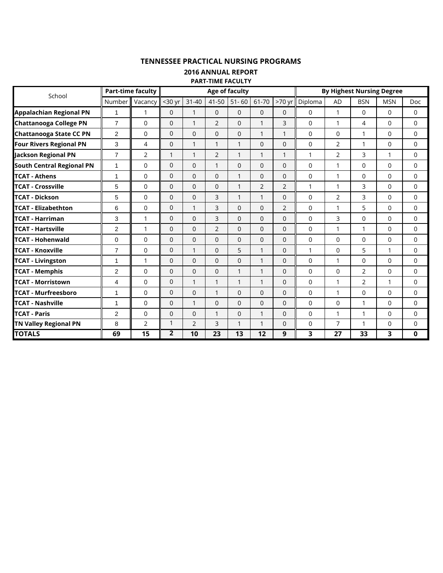### **TENNESSEE PRACTICAL NURSING PROGRAMS 2016 ANNUAL REPORT PART-TIME FACULTY**

| School                           |                | <b>Part-time faculty</b> |                |                |                | Age of faculty |                | <b>By Highest Nursing Degree</b> |              |                |                |             |             |
|----------------------------------|----------------|--------------------------|----------------|----------------|----------------|----------------|----------------|----------------------------------|--------------|----------------|----------------|-------------|-------------|
|                                  | Number         | Vacancy                  | <30 yr         | $31 - 40$      | 41-50          | $51 - 60$      | 61-70          | $>70$ yr                         | Diploma      | <b>AD</b>      | <b>BSN</b>     | <b>MSN</b>  | <b>Doc</b>  |
| <b>Appalachian Regional PN</b>   | 1              | 1                        | $\mathbf 0$    | 1              | $\Omega$       | $\Omega$       | $\Omega$       | 0                                | $\Omega$     | $\mathbf{1}$   | 0              | $\Omega$    | 0           |
| <b>Chattanooga College PN</b>    | $\overline{7}$ | $\Omega$                 | $\overline{0}$ | $\mathbf{1}$   | $\overline{2}$ | $\Omega$       | 1              | 3                                | $\Omega$     | $\mathbf{1}$   | 4              | $\Omega$    | 0           |
| <b>Chattanooga State CC PN</b>   | 2              | $\Omega$                 | $\overline{0}$ | $\Omega$       | $\Omega$       | $\Omega$       | 1              | $\mathbf{1}$                     | $\Omega$     | $\Omega$       | $\mathbf{1}$   | $\Omega$    | 0           |
| <b>Four Rivers Regional PN</b>   | 3              | 4                        | $\mathbf 0$    | $\mathbf{1}$   | $\mathbf{1}$   | $\mathbf{1}$   | $\mathbf 0$    | $\Omega$                         | $\Omega$     | 2              | $\mathbf{1}$   | $\mathbf 0$ | 0           |
| <b>Jackson Regional PN</b>       | $\overline{7}$ | $\overline{2}$           | $\mathbf{1}$   | 1              | $\overline{2}$ | 1              | 1              | 1                                | 1            | $\overline{2}$ | 3              | 1           | 0           |
| <b>South Central Regional PN</b> | 1              | 0                        | $\mathbf 0$    | $\mathbf 0$    | 1              | $\Omega$       | $\Omega$       | 0                                | $\Omega$     | $\mathbf{1}$   | 0              | $\Omega$    | 0           |
| <b>TCAT - Athens</b>             | 1              | 0                        | $\mathbf 0$    | $\Omega$       | $\Omega$       | 1              | $\Omega$       | 0                                | $\Omega$     | $\mathbf{1}$   | 0              | $\Omega$    | $\Omega$    |
| <b>TCAT - Crossville</b>         | 5              | $\Omega$                 | $\mathbf 0$    | $\Omega$       | $\Omega$       | $\mathbf{1}$   | $\overline{2}$ | $\overline{2}$                   | 1            | $\mathbf{1}$   | 3              | $\Omega$    | 0           |
| <b>TCAT - Dickson</b>            | 5              | $\Omega$                 | $\mathbf 0$    | $\Omega$       | 3              | $\mathbf{1}$   | $\mathbf{1}$   | $\Omega$                         | $\Omega$     | 2              | 3              | $\Omega$    | $\Omega$    |
| <b>TCAT - Elizabethton</b>       | 6              | $\Omega$                 | $\mathbf 0$    | $\mathbf{1}$   | 3              | $\Omega$       | $\Omega$       | $\overline{2}$                   | $\Omega$     | $\mathbf{1}$   | 5              | $\Omega$    | $\Omega$    |
| <b>TCAT - Harriman</b>           | 3              | $\mathbf{1}$             | $\mathbf 0$    | $\overline{0}$ | 3              | $\Omega$       | $\Omega$       | $\Omega$                         | $\Omega$     | 3              | 0              | $\Omega$    | $\mathbf 0$ |
| <b>TCAT - Hartsville</b>         | $\overline{2}$ | $\mathbf{1}$             | $\overline{0}$ | $\Omega$       | $\overline{2}$ | $\mathbf{0}$   | $\Omega$       | $\Omega$                         | $\Omega$     | $\mathbf{1}$   | $\mathbf{1}$   | $\Omega$    | 0           |
| <b>TCAT - Hohenwald</b>          | $\mathbf 0$    | $\Omega$                 | $\mathbf 0$    | $\Omega$       | $\Omega$       | $\Omega$       | $\Omega$       | $\Omega$                         | $\Omega$     | $\Omega$       | $\Omega$       | $\Omega$    | 0           |
| <b>TCAT - Knoxville</b>          | $\overline{7}$ | $\mathbf 0$              | $\mathbf 0$    | $\mathbf{1}$   | $\Omega$       | 5              | 1              | $\Omega$                         | $\mathbf{1}$ | 0              | 5              | 1           | 0           |
| <b>TCAT - Livingston</b>         | 1              | $\mathbf{1}$             | $\overline{0}$ | $\Omega$       | $\Omega$       | $\Omega$       | 1              | 0                                | $\Omega$     | $\mathbf{1}$   | 0              | $\Omega$    | $\Omega$    |
| <b>TCAT - Memphis</b>            | 2              | $\Omega$                 | $\mathbf 0$    | $\mathbf 0$    | $\mathbf 0$    | 1              | 1              | 0                                | $\Omega$     | $\Omega$       | $\overline{2}$ | $\Omega$    | 0           |
| <b>TCAT - Morristown</b>         | 4              | 0                        | $\mathbf 0$    | $\mathbf{1}$   | $\mathbf{1}$   | $\mathbf{1}$   | 1              | $\Omega$                         | $\Omega$     | $\mathbf{1}$   | $\overline{2}$ | 1           | 0           |
| <b>TCAT - Murfreesboro</b>       | 1              | 0                        | $\mathbf 0$    | $\overline{0}$ | 1              | $\mathbf{0}$   | $\Omega$       | 0                                | $\mathbf 0$  | $\mathbf{1}$   | 0              | $\Omega$    | 0           |
| <b>TCAT - Nashville</b>          | 1              | 0                        | $\mathbf 0$    | 1              | $\Omega$       | $\Omega$       | $\Omega$       | 0                                | 0            | $\Omega$       | $\mathbf{1}$   | $\Omega$    | 0           |
| <b>TCAT - Paris</b>              | $\overline{2}$ | $\Omega$                 | $\mathbf 0$    | $\mathbf{0}$   | $\mathbf{1}$   | $\Omega$       | 1              | $\Omega$                         | $\Omega$     | $\mathbf{1}$   | $\mathbf{1}$   | 0           | $\Omega$    |
| <b>TN Valley Regional PN</b>     | 8              | 2                        | $\mathbf{1}$   | $\overline{2}$ | 3              | $\mathbf{1}$   | 1              | 0                                | $\mathbf 0$  | 7              | 1              | $\Omega$    | 0           |
| <b>TOTALS</b>                    | 69             | 15                       | $\overline{2}$ | 10             | 23             | 13             | 12             | 9                                | 3            | 27             | 33             | 3           | 0           |